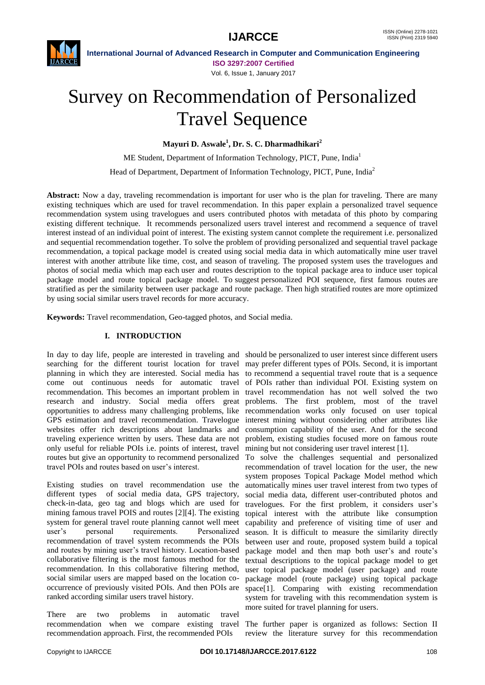

**International Journal of Advanced Research in Computer and Communication Engineering ISO 3297:2007 Certified** Vol. 6, Issue 1, January 2017

# Survey on Recommendation of Personalized Travel Sequence

**Mayuri D. Aswale<sup>1</sup> , Dr. S. C. Dharmadhikari<sup>2</sup>**

ME Student, Department of Information Technology, PICT, Pune, India<sup>1</sup>

Head of Department, Department of Information Technology, PICT, Pune, India<sup>2</sup>

Abstract: Now a day, traveling recommendation is important for user who is the plan for traveling. There are many existing techniques which are used for travel recommendation. In this paper explain a personalized travel sequence recommendation system using travelogues and users contributed photos with metadata of this photo by comparing existing different technique. It recommends personalized users travel interest and recommend a sequence of travel interest instead of an individual point of interest. The existing system cannot complete the requirement i.e. personalized and sequential recommendation together. To solve the problem of providing personalized and sequential travel package recommendation, a topical package model is created using social media data in which automatically mine user travel interest with another attribute like time, cost, and season of traveling. The proposed system uses the travelogues and photos of social media which map each user and routes description to the topical package area to induce user topical package model and route topical package model. To suggest personalized POI sequence, first famous routes are stratified as per the similarity between user package and route package. Then high stratified routes are more optimized by using social similar users travel records for more accuracy.

**Keywords:** Travel recommendation, Geo-tagged photos, and Social media.

#### **I. INTRODUCTION**

searching for the different tourist location for travel may prefer different types of POIs. Second, it is important planning in which they are interested. Social media has to recommend a sequential travel route that is a sequence come out continuous needs for automatic travel of POIs rather than individual POI. Existing system on recommendation. This becomes an important problem in travel recommendation has not well solved the two research and industry. Social media offers great problems. The first problem, most of the travel opportunities to address many challenging problems, like GPS estimation and travel recommendation. Travelogue websites offer rich descriptions about landmarks and traveling experience written by users. These data are not only useful for reliable POIs i.e. points of interest, travel routes but give an opportunity to recommend personalized travel POIs and routes based on user's interest.

Existing studies on travel recommendation use the different types of social media data, GPS trajectory, check-in-data, geo tag and blogs which are used for mining famous travel POIS and routes [2][4]. The existing topical interest with the attribute like consumption system for general travel route planning cannot well meet user's personal requirements. Personalized recommendation of travel system recommends the POIs and routes by mining user's travel history. Location-based collaborative filtering is the most famous method for the recommendation. In this collaborative filtering method, social similar users are mapped based on the location cooccurrence of previously visited POIs. And then POIs are ranked according similar users travel history.

There are two problems in automatic travel recommendation approach. First, the recommended POIs

In day to day life, people are interested in traveling and should be personalized to user interest since different users recommendation works only focused on user topical interest mining without considering other attributes like consumption capability of the user. And for the second problem, existing studies focused more on famous route mining but not considering user travel interest [1].

To solve the challenges sequential and personalized recommendation of travel location for the user, the new system proposes Topical Package Model method which automatically mines user travel interest from two types of social media data, different user-contributed photos and travelogues. For the first problem, it considers user's capability and preference of visiting time of user and season. It is difficult to measure the similarity directly between user and route, proposed system build a topical package model and then map both user's and route's textual descriptions to the topical package model to get user topical package model (user package) and route package model (route package) using topical package space[1]. Comparing with existing recommendation system for traveling with this recommendation system is more suited for travel planning for users.

recommendation when we compare existing travel The further paper is organized as follows: Section II review the literature survey for this recommendation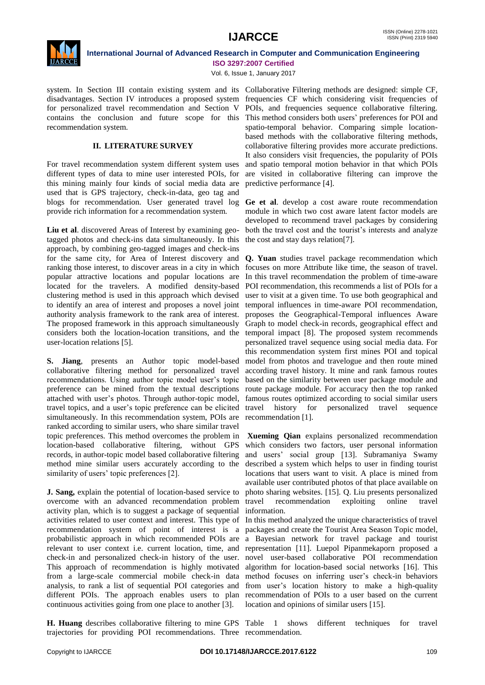

Vol. 6, Issue 1, January 2017

system. In Section III contain existing system and its Collaborative Filtering methods are designed: simple CF, disadvantages. Section IV introduces a proposed system frequencies CF which considering visit frequencies of for personalized travel recommendation and Section V POIs, and frequencies sequence collaborative filtering. contains the conclusion and future scope for this This method considers both users' preferences for POI and recommendation system.

#### **II. LITERATURE SURVEY**

For travel recommendation system different system uses different types of data to mine user interested POIs, for this mining mainly four kinds of social media data are used that is GPS trajectory, check-in-data, geo tag and blogs for recommendation. User generated travel log provide rich information for a recommendation system.

**Liu et al**. discovered Areas of Interest by examining geotagged photos and check-ins data simultaneously. In this approach, by combining geo-tagged images and check-ins for the same city, for Area of Interest discovery and ranking those interest, to discover areas in a city in which popular attractive locations and popular locations are located for the travelers. A modified density-based clustering method is used in this approach which devised to identify an area of interest and proposes a novel joint authority analysis framework to the rank area of interest. The proposed framework in this approach simultaneously considers both the location-location transitions, and the user-location relations [5].

**S. Jiang**, presents an Author topic model-based collaborative filtering method for personalized travel recommendations. Using author topic model user's topic preference can be mined from the textual descriptions attached with user's photos. Through author-topic model, travel topics, and a user's topic preference can be elicited simultaneously. In this recommendation system, POIs are ranked according to similar users, who share similar travel topic preferences. This method overcomes the problem in location-based collaborative filtering, without GPS records, in author-topic model based collaborative filtering method mine similar users accurately according to the similarity of users' topic preferences [2].

**J. Sang,** explain the potential of location-based service to overcome with an advanced recommendation problem travel recommendation exploiting online travel activity plan, which is to suggest a package of sequential activities related to user context and interest. This type of In this method analyzed the unique characteristics of travel recommendation system of point of interest is a probabilistic approach in which recommended POIs are a Bayesian network for travel package and tourist relevant to user context i.e. current location, time, and representation [11]. Luepol Pipanmekaporn proposed a check-in and personalized check-in history of the user. novel user-based collaborative POI recommendation This approach of recommendation is highly motivated algorithm for location-based social networks [16]. This from a large-scale commercial mobile check-in data method focuses on inferring user's check-in behaviors analysis, to rank a list of sequential POI categories and from user's location history to make a high-quality different POIs. The approach enables users to plan recommendation of POIs to a user based on the current continuous activities going from one place to another [3].

**H. Huang** describes collaborative filtering to mine GPS Table 1 shows different techniques for travel trajectories for providing POI recommendations. Three recommendation.

spatio-temporal behavior. Comparing simple locationbased methods with the collaborative filtering methods, collaborative filtering provides more accurate predictions. It also considers visit frequencies, the popularity of POIs and spatio temporal motion behavior in that which POIs are visited in collaborative filtering can improve the predictive performance [4].

**Ge et al**. develop a cost aware route recommendation module in which two cost aware latent factor models are developed to recommend travel packages by considering both the travel cost and the tourist's interests and analyze the cost and stay days relation[7].

**Q. Yuan** studies travel package recommendation which focuses on more Attribute like time, the season of travel. In this travel recommendation the problem of time-aware POI recommendation, this recommends a list of POIs for a user to visit at a given time. To use both geographical and temporal influences in time-aware POI recommendation, proposes the Geographical-Temporal influences Aware Graph to model check-in records, geographical effect and temporal impact [8]. The proposed system recommends personalized travel sequence using social media data. For this recommendation system first mines POI and topical model from photos and travelogue and then route mined according travel history. It mine and rank famous routes based on the similarity between user package module and route package module. For accuracy then the top ranked famous routes optimized according to social similar users travel history for personalized travel sequence recommendation [1].

**Xueming Qian** explains personalized recommendation which considers two factors, user personal information and users' social group [13]. Subramaniya Swamy described a system which helps to user in finding tourist locations that users want to visit. A place is mined from available user contributed photos of that place available on photo sharing websites. [15]. Q. Liu presents personalized information.

packages and create the Tourist Area Season Topic model, location and opinions of similar users [15].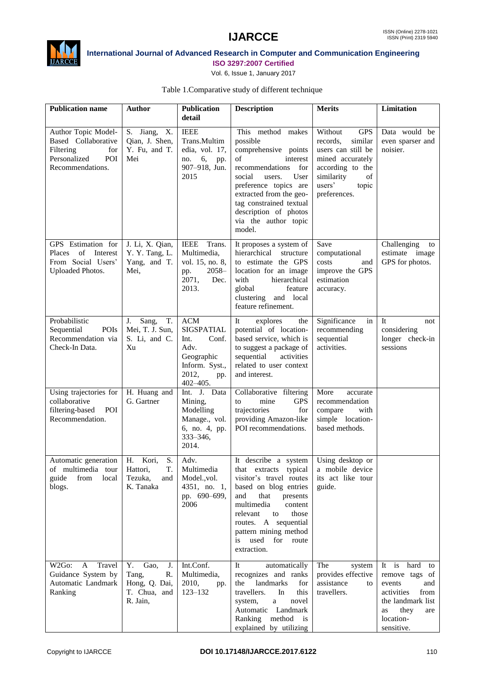



## **International Journal of Advanced Research in Computer and Communication Engineering**

**ISO 3297:2007 Certified** Vol. 6, Issue 1, January 2017

|  |  |  | Table 1. Comparative study of different technique |  |
|--|--|--|---------------------------------------------------|--|
|  |  |  |                                                   |  |

| <b>Publication name</b>                                                                                   | <b>Author</b>                                                                | <b>Publication</b><br>detail                                                                             | <b>Description</b>                                                                                                                                                                                                                                                                                           | <b>Merits</b>                                                                                                                                                     | Limitation                                                                                                                                     |
|-----------------------------------------------------------------------------------------------------------|------------------------------------------------------------------------------|----------------------------------------------------------------------------------------------------------|--------------------------------------------------------------------------------------------------------------------------------------------------------------------------------------------------------------------------------------------------------------------------------------------------------------|-------------------------------------------------------------------------------------------------------------------------------------------------------------------|------------------------------------------------------------------------------------------------------------------------------------------------|
| Author Topic Model-<br>Based Collaborative<br>Filtering<br>for<br>Personalized<br>POI<br>Recommendations. | S. Jiang,<br>X.<br>Qian, J. Shen,<br>Y. Fu, and T.<br>Mei                    | <b>IEEE</b><br>Trans.Multim<br>edia, vol. 17,<br>6,<br>pp.<br>no.<br>907-918, Jun.<br>2015               | This method makes<br>possible<br>comprehensive points<br>interest<br>οf<br>recommendations for<br>social<br>users.<br>User<br>preference topics are<br>extracted from the geo-<br>tag constrained textual<br>description of photos<br>via the author topic<br>model.                                         | Without<br><b>GPS</b><br>records.<br>similar<br>users can still be<br>mined accurately<br>according to the<br>similarity<br>of<br>users'<br>topic<br>preferences. | Data would be<br>even sparser and<br>noisier.                                                                                                  |
| GPS Estimation for<br>of Interest<br>Places<br>From Social Users'<br>Uploaded Photos.                     | J. Li, X. Qian,<br>Y. Y. Tang, L.<br>Yang, and T.<br>Mei,                    | Trans.<br><b>IEEE</b><br>Multimedia,<br>vol. 15, no. 8,<br>$2058-$<br>pp.<br>2071,<br>Dec.<br>2013.      | It proposes a system of<br>hierarchical<br>structure<br>to estimate the GPS<br>location for an image<br>with<br>hierarchical<br>global<br>feature<br>clustering and local<br>feature refinement.                                                                                                             | Save<br>computational<br>costs<br>and<br>improve the GPS<br>estimation<br>accuracy.                                                                               | Challenging<br>to<br>estimate image<br>GPS for photos.                                                                                         |
| Probabilistic<br>Sequential<br>POIs<br>Recommendation via<br>Check-In Data.                               | Sang,<br>T.<br>J.<br>Mei, T. J. Sun,<br>S. Li, and C.<br>Xu                  | $ACM$<br>SIGSPATIAL<br>Int.<br>Conf.<br>Adv.<br>Geographic<br>Inform. Syst.,<br>2012,<br>pp.<br>402-405. | explores<br>It<br>the<br>potential of location-<br>based service, which is<br>to suggest a package of<br>sequential<br>activities<br>related to user context<br>and interest.                                                                                                                                | Significance<br>in<br>recommending<br>sequential<br>activities.                                                                                                   | <b>It</b><br>not<br>considering<br>longer check-in<br>sessions                                                                                 |
| Using trajectories for<br>collaborative<br>filtering-based<br>POI<br>Recommendation.                      | H. Huang and<br>G. Gartner                                                   | Int. J. Data<br>Mining,<br>Modelling<br>Manage., vol.<br>6, no. 4, pp.<br>$333 - 346$ ,<br>2014.         | Collaborative filtering<br>mine<br><b>GPS</b><br>to<br>trajectories<br>for<br>providing Amazon-like<br>POI recommendations.                                                                                                                                                                                  | More<br>accurate<br>recommendation<br>with<br>compare<br>simple location-<br>based methods.                                                                       |                                                                                                                                                |
| Automatic generation   H. Kori,<br>of multimedia tour Hattori,<br>from local<br>guide<br>blogs.           | S.<br>T.<br>Tezuka,<br>and<br>K. Tanaka                                      | Adv.<br>Multimedia<br>Model., vol.<br>4351, no. 1,<br>pp. 690-699,<br>2006                               | It describe a system Using desktop or<br>that extracts typical a mobile device<br>visitor's travel routes<br>based on blog entries<br>and<br>that<br>presents<br>multimedia<br>content<br>relevant<br>those<br>to<br>routes. A sequential<br>pattern mining method<br>used for<br>is<br>route<br>extraction. | its act like tour<br>guide.                                                                                                                                       |                                                                                                                                                |
| Travel<br>W2Go:<br>A<br>Guidance System by<br>Automatic Landmark<br>Ranking                               | Y.<br>Gao,<br>J.<br>Tang,<br>R.<br>Hong, Q. Dai,<br>T. Chua, and<br>R. Jain, | Int.Conf.<br>Multimedia,<br>2010,<br>pp.<br>$123 - 132$                                                  | automatically<br>It<br>recognizes and ranks<br>landmarks<br>the<br>for<br>travellers.<br>In<br>this<br>system,<br>a<br>novel<br>Automatic Landmark<br>Ranking method is<br>explained by utilizing                                                                                                            | The<br>system<br>provides effective<br>assistance<br>to<br>travellers.                                                                                            | It is<br>hard to<br>remove tags of<br>events<br>and<br>activities<br>from<br>the landmark list<br>they<br>as<br>are<br>location-<br>sensitive. |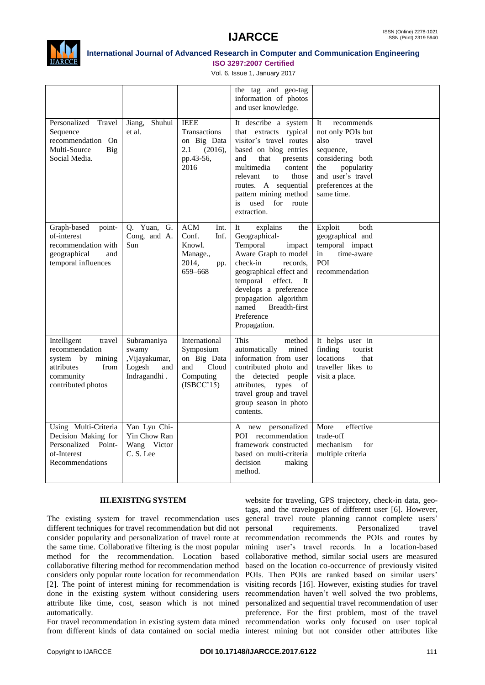

Vol. 6, Issue 1, January 2017

|                                                                                                                         |                                                                        |                                                                                      | the tag and geo-tag<br>information of photos<br>and user knowledge.                                                                                                                                                                                                            |                                                                                                                                                                        |  |
|-------------------------------------------------------------------------------------------------------------------------|------------------------------------------------------------------------|--------------------------------------------------------------------------------------|--------------------------------------------------------------------------------------------------------------------------------------------------------------------------------------------------------------------------------------------------------------------------------|------------------------------------------------------------------------------------------------------------------------------------------------------------------------|--|
| Personalized<br>Travel<br>Sequence<br>recommendation On<br>Multi-Source<br>Big<br>Social Media.                         | Shuhui<br>Jiang,<br>et al.                                             | <b>IEEE</b><br>Transactions<br>on Big Data<br>2.1<br>(2016),<br>pp.43-56,<br>2016    | It describe a system<br>that extracts typical<br>visitor's travel routes<br>based on blog entries<br>and<br>that<br>presents<br>multimedia<br>content<br>relevant<br>to<br>those<br>routes. A sequential<br>pattern mining method<br>used<br>for<br>is<br>route<br>extraction. | recommends<br>It<br>not only POIs but<br>also<br>travel<br>sequence,<br>considering both<br>popularity<br>the<br>and user's travel<br>preferences at the<br>same time. |  |
| Graph-based<br>point-<br>of-interest<br>recommendation with<br>geographical<br>and<br>temporal influences               | Q. Yuan,<br>G.<br>Cong, and A.<br>Sun                                  | <b>ACM</b><br>Int.<br>Conf.<br>Inf.<br>Knowl.<br>Manage.,<br>2014,<br>pp.<br>659-668 | explains<br>the<br>It<br>Geographical-<br>Temporal<br>impact<br>Aware Graph to model<br>check-in<br>records,<br>geographical effect and<br>temporal effect.<br>- It<br>develops a preference<br>propagation algorithm<br>named<br>Breadth-first<br>Preference<br>Propagation.  | Exploit<br>both<br>geographical and<br>temporal impact<br>time-aware<br>in<br>POI<br>recommendation                                                                    |  |
| Intelligent<br>travel<br>recommendation<br>system by<br>mining<br>attributes<br>from<br>community<br>contributed photos | Subramaniya<br>swamy<br>,Vijayakumar,<br>Logesh<br>and<br>Indragandhi. | International<br>Symposium<br>on Big Data<br>and<br>Cloud<br>Computing<br>(ISBCC'15) | <b>This</b><br>method<br>automatically<br>mined<br>information from user<br>contributed photo and<br>the detected people<br>attributes,<br>types of<br>travel group and travel<br>group season in photo<br>contents.                                                           | It helps user in<br>finding<br>tourist<br>locations<br>that<br>traveller likes to<br>visit a place.                                                                    |  |
| Using Multi-Criteria<br>Decision Making for<br>Personalized Point-<br>of-Interest<br>Recommendations                    | Yan Lyu Chi-<br>Yin Chow Ran<br>Wang Victor<br>C. S. Lee               |                                                                                      | A new personalized<br>POI recommendation<br>framework constructed<br>based on multi-criteria<br>decision<br>making<br>method.                                                                                                                                                  | effective<br>More<br>trade-off<br>mechanism<br>for<br>multiple criteria                                                                                                |  |

#### **III.EXISTING SYSTEM**

The existing system for travel recommendation uses general travel route planning cannot complete users' different techniques for travel recommendation but did not collaborative filtering method for recommendation method based on the location co-occurrence of previously visited attribute like time, cost, season which is not mined automatically.

For travel recommendation in existing system data mined recommendation works only focused on user topical

consider popularity and personalization of travel route at recommendation recommends the POIs and routes by the same time. Collaborative filtering is the most popular mining user's travel records. In a location-based method for the recommendation. Location based collaborative method, similar social users are measured considers only popular route location for recommendation POIs. Then POIs are ranked based on similar users' [2]. The point of interest mining for recommendation is visiting records [16]. However, existing studies for travel done in the existing system without considering users recommendation haven't well solved the two problems, from different kinds of data contained on social media interest mining but not consider other attributes like website for traveling, GPS trajectory, check-in data, geotags, and the travelogues of different user [6]. However, requirements. Personalized travel personalized and sequential travel recommendation of user preference. For the first problem, most of the travel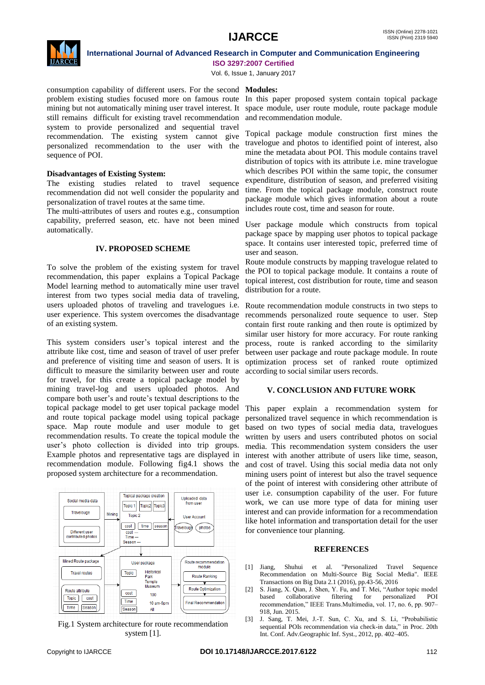

Vol. 6, Issue 1, January 2017

consumption capability of different users. For the second **Modules:** problem existing studies focused more on famous route In this paper proposed system contain topical package mining but not automatically mining user travel interest. It still remains difficult for existing travel recommendation system to provide personalized and sequential travel recommendation. The existing system cannot give personalized recommendation to the user with the sequence of POI.

#### **Disadvantages of Existing System:**

The existing studies related to travel sequence recommendation did not well consider the popularity and personalization of travel routes at the same time.

The multi-attributes of users and routes e.g., consumption capability, preferred season, etc. have not been mined automatically.

#### **IV. PROPOSED SCHEME**

To solve the problem of the existing system for travel recommendation, this paper explains a Topical Package Model learning method to automatically mine user travel interest from two types social media data of traveling, users uploaded photos of traveling and travelogues i.e. user experience. This system overcomes the disadvantage of an existing system.

This system considers user's topical interest and the attribute like cost, time and season of travel of user prefer and preference of visiting time and season of users. It is difficult to measure the similarity between user and route for travel, for this create a topical package model by mining travel-log and users uploaded photos. And compare both user's and route's textual descriptions to the topical package model to get user topical package model and route topical package model using topical package space. Map route module and user module to get recommendation results. To create the topical module the user's photo collection is divided into trip groups. Example photos and representative tags are displayed in recommendation module. Following fig4.1 shows the proposed system architecture for a recommendation.



Fig.1 System architecture for route recommendation system [1].

space module, user route module, route package module and recommendation module.

Topical package module construction first mines the travelogue and photos to identified point of interest, also mine the metadata about POI. This module contains travel distribution of topics with its attribute i.e. mine travelogue which describes POI within the same topic, the consumer expenditure, distribution of season, and preferred visiting time. From the topical package module, construct route package module which gives information about a route includes route cost, time and season for route.

User package module which constructs from topical package space by mapping user photos to topical package space. It contains user interested topic, preferred time of user and season.

Route module constructs by mapping travelogue related to the POI to topical package module. It contains a route of topical interest, cost distribution for route, time and season distribution for a route.

Route recommendation module constructs in two steps to recommends personalized route sequence to user. Step contain first route ranking and then route is optimized by similar user history for more accuracy. For route ranking process, route is ranked according to the similarity between user package and route package module. In route optimization process set of ranked route optimized according to social similar users records.

#### **V. CONCLUSION AND FUTURE WORK**

This paper explain a recommendation system for personalized travel sequence in which recommendation is based on two types of social media data, travelogues written by users and users contributed photos on social media. This recommendation system considers the user interest with another attribute of users like time, season, and cost of travel. Using this social media data not only mining users point of interest but also the travel sequence of the point of interest with considering other attribute of user i.e. consumption capability of the user. For future work, we can use more type of data for mining user interest and can provide information for a recommendation like hotel information and transportation detail for the user for convenience tour planning.

#### **REFERENCES**

- [1] Jiang, Shuhui et al. "Personalized Travel Sequence Recommendation on Multi-Source Big Social Media". IEEE Transactions on Big Data 2.1 (2016), pp.43-56, 2016
- [2] S. Jiang, X. Qian, J. Shen, Y. Fu, and T. Mei, "Author topic model based collaborative filtering for personalized POI recommendation," IEEE Trans.Multimedia, vol. 17, no. 6, pp. 907– 918, Jun. 2015.
- [3] J. Sang, T. Mei, J.-T. Sun, C. Xu, and S. Li, "Probabilistic sequential POIs recommendation via check-in data," in Proc. 20th Int. Conf. Adv.Geographic Inf. Syst., 2012, pp. 402–405.